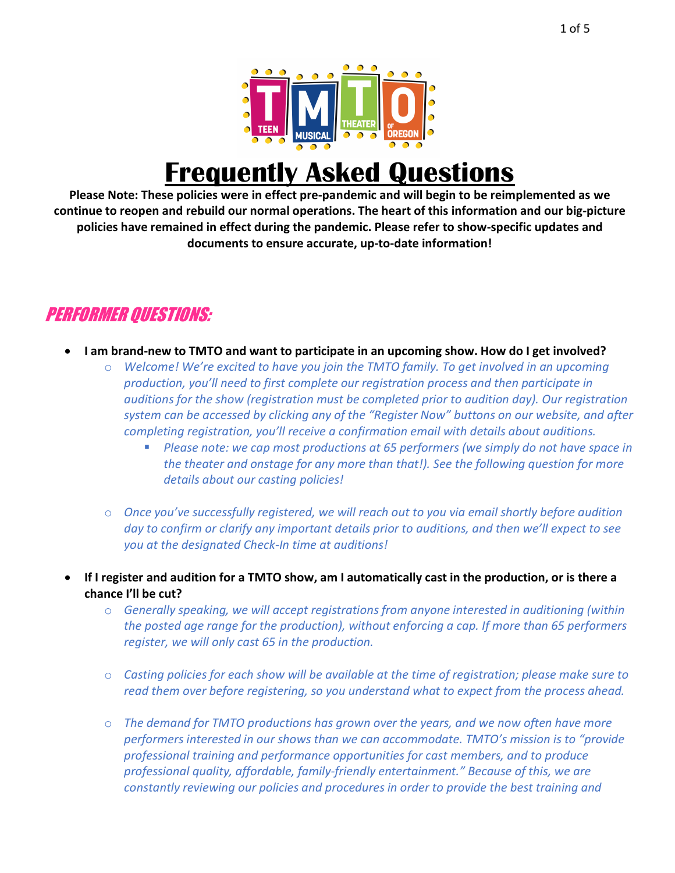

## **Frequently Asked Questions**

**Please Note: These policies were in effect pre-pandemic and will begin to be reimplemented as we continue to reopen and rebuild our normal operations. The heart of this information and our big-picture policies have remained in effect during the pandemic. Please refer to show-specific updates and documents to ensure accurate, up-to-date information!**

## PERFORMER QUESTIONS:

- **I am brand-new to TMTO and want to participate in an upcoming show. How do I get involved?**
	- o *Welcome! We're excited to have you join the TMTO family. To get involved in an upcoming production, you'll need to first complete our registration process and then participate in auditions for the show (registration must be completed prior to audition day). Our registration system can be accessed by clicking any of the "Register Now" buttons on our website, and after completing registration, you'll receive a confirmation email with details about auditions.*
		- § *Please note: we cap most productions at 65 performers (we simply do not have space in the theater and onstage for any more than that!). See the following question for more details about our casting policies!*
	- o *Once you've successfully registered, we will reach out to you via email shortly before audition day to confirm or clarify any important details prior to auditions, and then we'll expect to see you at the designated Check-In time at auditions!*
- **If I register and audition for a TMTO show, am I automatically cast in the production, or is there a chance I'll be cut?**
	- o *Generally speaking, we will accept registrations from anyone interested in auditioning (within the posted age range for the production), without enforcing a cap. If more than 65 performers register, we will only cast 65 in the production.*
	- o *Casting policies for each show will be available at the time of registration; please make sure to read them over before registering, so you understand what to expect from the process ahead.*
	- o *The demand for TMTO productions has grown over the years, and we now often have more performers interested in our shows than we can accommodate. TMTO's mission is to "provide professional training and performance opportunities for cast members, and to produce professional quality, affordable, family-friendly entertainment." Because of this, we are constantly reviewing our policies and procedures in order to provide the best training and*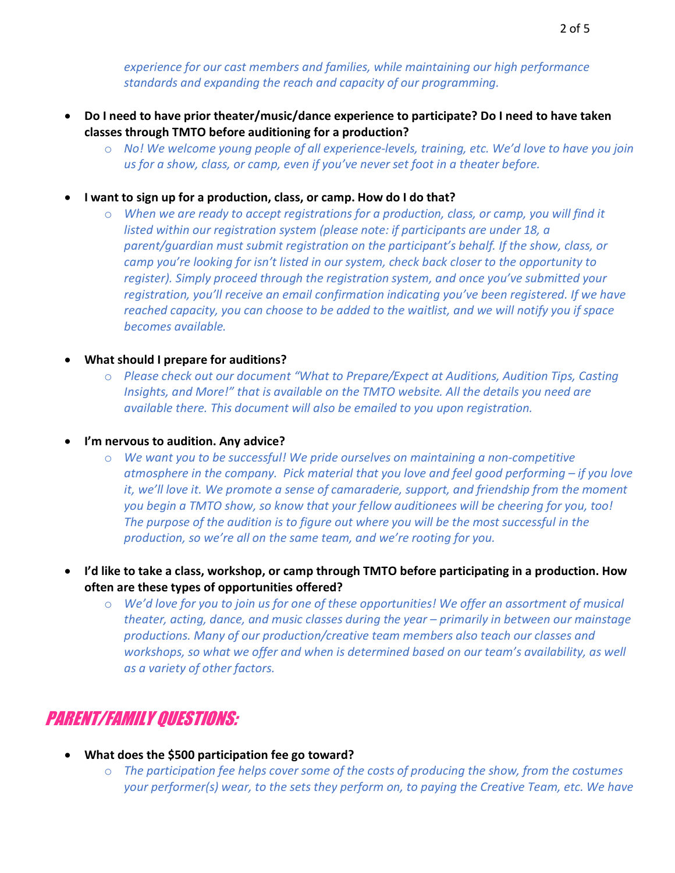*experience for our cast members and families, while maintaining our high performance standards and expanding the reach and capacity of our programming.* 

- **Do I need to have prior theater/music/dance experience to participate? Do I need to have taken classes through TMTO before auditioning for a production?**
	- o *No! We welcome young people of all experience-levels, training, etc. We'd love to have you join us for a show, class, or camp, even if you've never set foot in a theater before.*
- **I want to sign up for a production, class, or camp. How do I do that?**
	- o *When we are ready to accept registrations for a production, class, or camp, you will find it listed within our registration system (please note: if participants are under 18, a parent/guardian must submit registration on the participant's behalf. If the show, class, or camp you're looking for isn't listed in our system, check back closer to the opportunity to register). Simply proceed through the registration system, and once you've submitted your registration, you'll receive an email confirmation indicating you've been registered. If we have reached capacity, you can choose to be added to the waitlist, and we will notify you if space becomes available.*
- **What should I prepare for auditions?**
	- o *Please check out our document "What to Prepare/Expect at Auditions, Audition Tips, Casting Insights, and More!" that is available on the TMTO website. All the details you need are available there. This document will also be emailed to you upon registration.*
- **I'm nervous to audition. Any advice?**
	- o *We want you to be successful! We pride ourselves on maintaining a non-competitive atmosphere in the company. Pick material that you love and feel good performing – if you love it, we'll love it. We promote a sense of camaraderie, support, and friendship from the moment you begin a TMTO show, so know that your fellow auditionees will be cheering for you, too! The purpose of the audition is to figure out where you will be the most successful in the production, so we're all on the same team, and we're rooting for you.*
- **I'd like to take a class, workshop, or camp through TMTO before participating in a production. How often are these types of opportunities offered?**
	- o *We'd love for you to join us for one of these opportunities! We offer an assortment of musical theater, acting, dance, and music classes during the year – primarily in between our mainstage productions. Many of our production/creative team members also teach our classes and workshops, so what we offer and when is determined based on our team's availability, as well as a variety of other factors.*

## PARENT/FAMILY QUESTIONS:

- **What does the \$500 participation fee go toward?**
	- o *The participation fee helps cover some of the costs of producing the show, from the costumes your performer(s) wear, to the sets they perform on, to paying the Creative Team, etc. We have*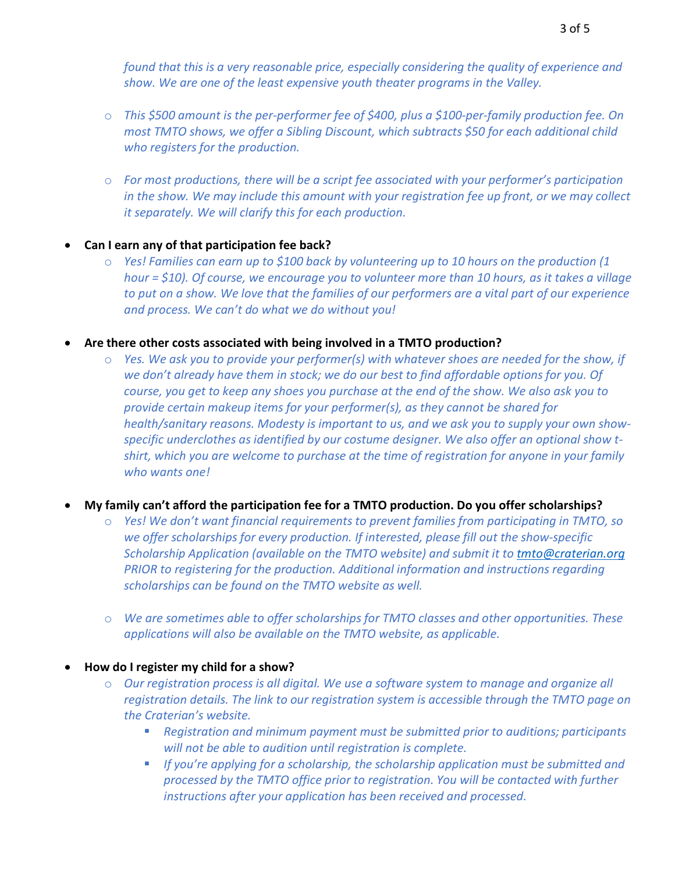*found that this is a very reasonable price, especially considering the quality of experience and show. We are one of the least expensive youth theater programs in the Valley.*

- o *This \$500 amount is the per-performer fee of \$400, plus a \$100-per-family production fee. On most TMTO shows, we offer a Sibling Discount, which subtracts \$50 for each additional child who registers for the production.*
- o *For most productions, there will be a script fee associated with your performer's participation in the show. We may include this amount with your registration fee up front, or we may collect it separately. We will clarify this for each production.*
- **Can I earn any of that participation fee back?**
	- o *Yes! Families can earn up to \$100 back by volunteering up to 10 hours on the production (1 hour = \$10). Of course, we encourage you to volunteer more than 10 hours, as it takes a village to put on a show. We love that the families of our performers are a vital part of our experience and process. We can't do what we do without you!*
- **Are there other costs associated with being involved in a TMTO production?**
	- o *Yes. We ask you to provide your performer(s) with whatever shoes are needed for the show, if we don't already have them in stock; we do our best to find affordable options for you. Of course, you get to keep any shoes you purchase at the end of the show. We also ask you to provide certain makeup items for your performer(s), as they cannot be shared for health/sanitary reasons. Modesty is important to us, and we ask you to supply your own showspecific underclothes as identified by our costume designer. We also offer an optional show tshirt, which you are welcome to purchase at the time of registration for anyone in your family who wants one!*
- **My family can't afford the participation fee for a TMTO production. Do you offer scholarships?**
	- o *Yes! We don't want financial requirements to prevent families from participating in TMTO, so we offer scholarships for every production. If interested, please fill out the show-specific Scholarship Application (available on the TMTO website) and submit it to tmto@craterian.org PRIOR to registering for the production. Additional information and instructions regarding scholarships can be found on the TMTO website as well.*
	- o *We are sometimes able to offer scholarships for TMTO classes and other opportunities. These applications will also be available on the TMTO website, as applicable.*
- **How do I register my child for a show?**
	- o *Our registration process is all digital. We use a software system to manage and organize all registration details. The link to our registration system is accessible through the TMTO page on the Craterian's website.*
		- *Registration and minimum payment must be submitted prior to auditions; participants will not be able to audition until registration is complete.*
		- *If you're applying for a scholarship, the scholarship application must be submitted and processed by the TMTO office prior to registration. You will be contacted with further instructions after your application has been received and processed.*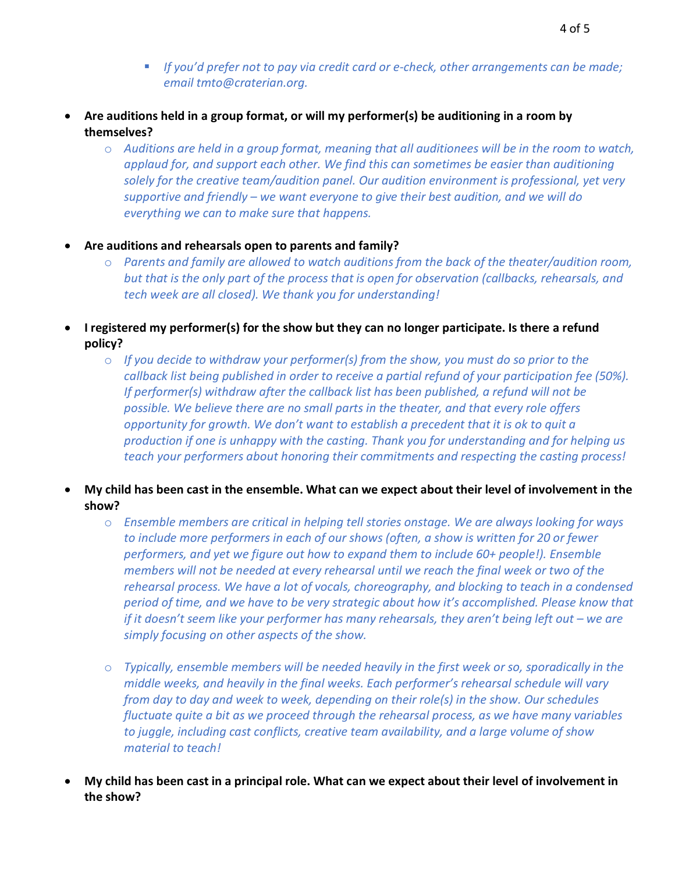- *If you'd prefer not to pay via credit card or e-check, other arrangements can be made; email tmto@craterian.org.*
- **Are auditions held in a group format, or will my performer(s) be auditioning in a room by themselves?**
	- o *Auditions are held in a group format, meaning that all auditionees will be in the room to watch, applaud for, and support each other. We find this can sometimes be easier than auditioning solely for the creative team/audition panel. Our audition environment is professional, yet very supportive and friendly – we want everyone to give their best audition, and we will do everything we can to make sure that happens.*
- **Are auditions and rehearsals open to parents and family?**
	- o *Parents and family are allowed to watch auditions from the back of the theater/audition room, but that is the only part of the process that is open for observation (callbacks, rehearsals, and tech week are all closed). We thank you for understanding!*
- **I registered my performer(s) for the show but they can no longer participate. Is there a refund policy?**
	- o *If you decide to withdraw your performer(s) from the show, you must do so prior to the callback list being published in order to receive a partial refund of your participation fee (50%). If performer(s) withdraw after the callback list has been published, a refund will not be possible. We believe there are no small parts in the theater, and that every role offers opportunity for growth. We don't want to establish a precedent that it is ok to quit a production if one is unhappy with the casting. Thank you for understanding and for helping us teach your performers about honoring their commitments and respecting the casting process!*
- **My child has been cast in the ensemble. What can we expect about their level of involvement in the show?**
	- o *Ensemble members are critical in helping tell stories onstage. We are always looking for ways to include more performers in each of our shows (often, a show is written for 20 or fewer performers, and yet we figure out how to expand them to include 60+ people!). Ensemble members will not be needed at every rehearsal until we reach the final week or two of the rehearsal process. We have a lot of vocals, choreography, and blocking to teach in a condensed period of time, and we have to be very strategic about how it's accomplished. Please know that if it doesn't seem like your performer has many rehearsals, they aren't being left out – we are simply focusing on other aspects of the show.*
	- o *Typically, ensemble members will be needed heavily in the first week or so, sporadically in the middle weeks, and heavily in the final weeks. Each performer's rehearsal schedule will vary from day to day and week to week, depending on their role(s) in the show. Our schedules fluctuate quite a bit as we proceed through the rehearsal process, as we have many variables to juggle, including cast conflicts, creative team availability, and a large volume of show material to teach!*
- **My child has been cast in a principal role. What can we expect about their level of involvement in the show?**